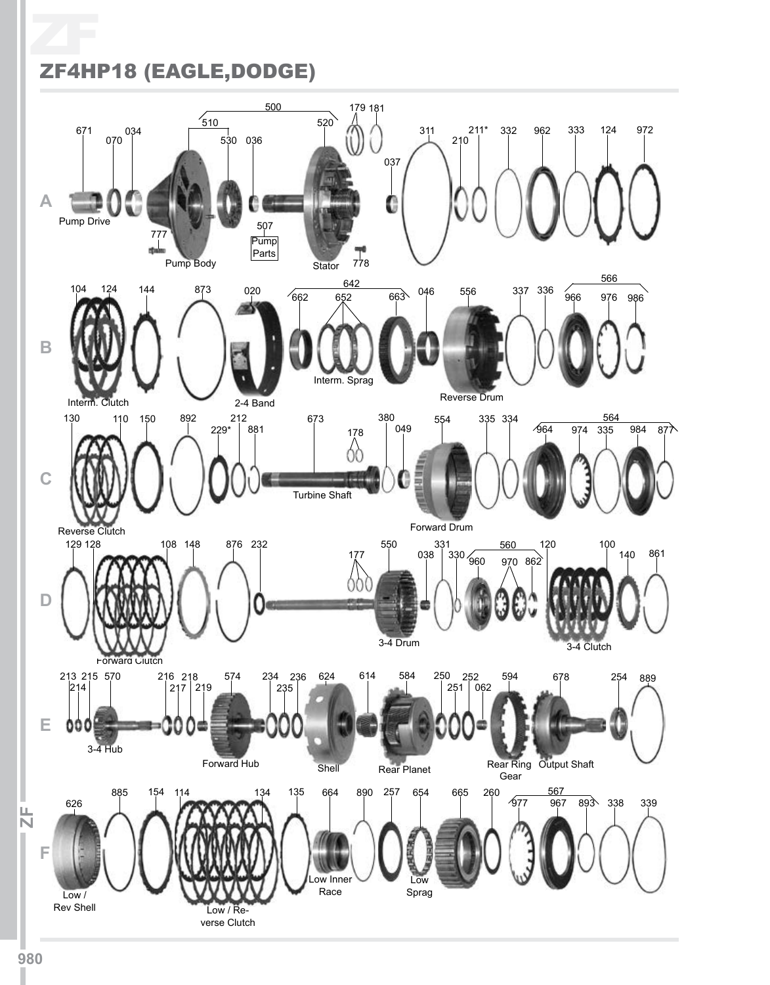## ZF ZF4HP18 (EAGLE,DODGE)